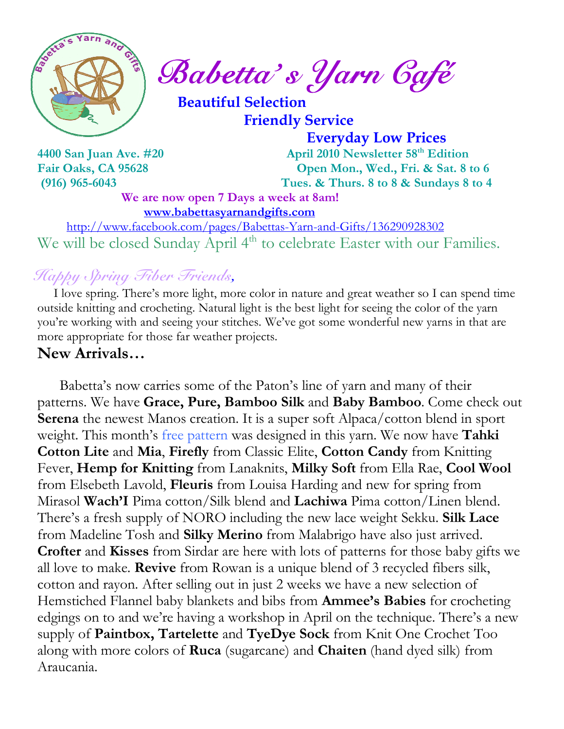

 $\int_{a}^{\frac{1}{2}} \mathbb{R} \mathbb{R}^{2} \mathbb{R}^{3}$  Babetta's Yarn Gafé

 Beautiful Selection Friendly Service

 Everyday Low Prices 4400 San Juan Ave. #20 April 2010 Newsletter 58<sup>th</sup> Edition Fair Oaks, CA 95628 Open Mon., Wed., Fri. & Sat. 8 to 6 (916) 965-6043 Tues. & Thurs. 8 to 8 & Sundays 8 to 4

We are now open 7 Days a week at 8am! www.babettasyarnandgifts.com

 http://www.facebook.com/pages/Babettas-Yarn-and-Gifts/136290928302 We will be closed Sunday April 4<sup>th</sup> to celebrate Easter with our Families.

## Happy Spring Fiber Friends,

 I love spring. There's more light, more color in nature and great weather so I can spend time outside knitting and crocheting. Natural light is the best light for seeing the color of the yarn you're working with and seeing your stitches. We've got some wonderful new yarns in that are more appropriate for those far weather projects.

#### New Arrivals…

 Babetta's now carries some of the Paton's line of yarn and many of their patterns. We have Grace, Pure, Bamboo Silk and Baby Bamboo. Come check out Serena the newest Manos creation. It is a super soft Alpaca/cotton blend in sport weight. This month's free pattern was designed in this yarn. We now have **Tahki** Cotton Lite and Mia, Firefly from Classic Elite, Cotton Candy from Knitting Fever, Hemp for Knitting from Lanaknits, Milky Soft from Ella Rae, Cool Wool from Elsebeth Lavold, Fleuris from Louisa Harding and new for spring from Mirasol Wach'I Pima cotton/Silk blend and Lachiwa Pima cotton/Linen blend. There's a fresh supply of NORO including the new lace weight Sekku. Silk Lace from Madeline Tosh and Silky Merino from Malabrigo have also just arrived. Crofter and Kisses from Sirdar are here with lots of patterns for those baby gifts we all love to make. Revive from Rowan is a unique blend of 3 recycled fibers silk, cotton and rayon. After selling out in just 2 weeks we have a new selection of Hemstiched Flannel baby blankets and bibs from **Ammee's Babies** for crocheting edgings on to and we're having a workshop in April on the technique. There's a new supply of Paintbox, Tartelette and TyeDye Sock from Knit One Crochet Too along with more colors of **Ruca** (sugarcane) and **Chaiten** (hand dyed silk) from Araucania.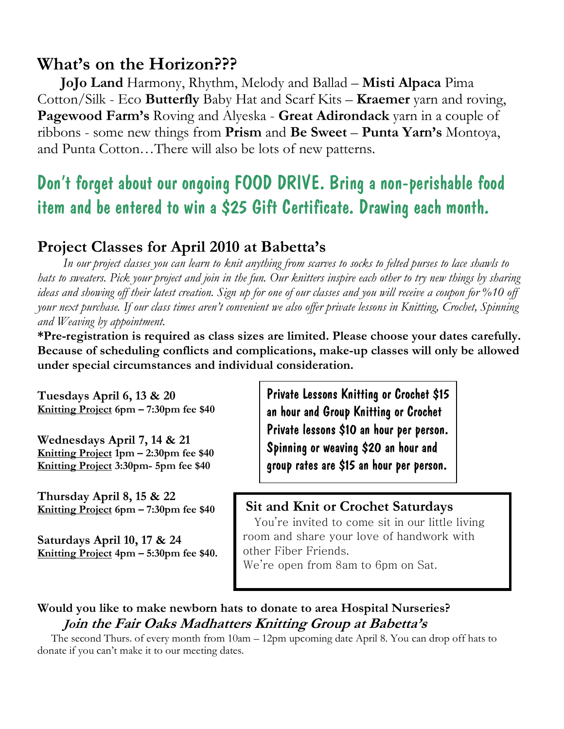## What's on the Horizon???

 JoJo Land Harmony, Rhythm, Melody and Ballad – Misti Alpaca Pima Cotton/Silk - Eco Butterfly Baby Hat and Scarf Kits – Kraemer yarn and roving, Pagewood Farm's Roving and Alyeska - Great Adirondack yarn in a couple of ribbons - some new things from Prism and Be Sweet – Punta Yarn's Montoya, and Punta Cotton…There will also be lots of new patterns.

## Don't forget about our ongoing FOOD DRIVE. Bring a non-perishable food item and be entered to win a \$25 Gift Certificate. Drawing each month.

## Project Classes for April 2010 at Babetta's

 In our project classes you can learn to knit anything from scarves to socks to felted purses to lace shawls to hats to sweaters. Pick your project and join in the fun. Our knitters inspire each other to try new things by sharing ideas and showing off their latest creation. Sign up for one of our classes and you will receive a coupon for %10 off your next purchase. If our class times aren't convenient we also offer private lessons in Knitting, Crochet, Spinning and Weaving by appointment.

\*Pre-registration is required as class sizes are limited. Please choose your dates carefully. Because of scheduling conflicts and complications, make-up classes will only be allowed under special circumstances and individual consideration.

Tuesdays April 6, 13 & 20 Knitting Project 6pm – 7:30pm fee \$40

Wednesdays April 7, 14 & 21 Knitting Project 1pm – 2:30pm fee \$40 Knitting Project 3:30pm- 5pm fee \$40

Thursday April 8, 15 & 22 Knitting Project 6pm – 7:30pm fee \$40

Saturdays April 10, 17 & 24 Knitting Project 4pm – 5:30pm fee \$40. Private Lessons Knitting or Crochet \$15 an hour and Group Knitting or Crochet Private lessons \$10 an hour per person. Spinning or weaving \$20 an hour and group rates are \$15 an hour per person.

#### Sit and Knit or Crochet Saturdays

 You're invited to come sit in our little living room and share your love of handwork with other Fiber Friends. We're open from 8am to 6pm on Sat.

#### Would you like to make newborn hats to donate to area Hospital Nurseries? Join the Fair Oaks Madhatters Knitting Group at Babetta's

 The second Thurs. of every month from 10am – 12pm upcoming date April 8. You can drop off hats to donate if you can't make it to our meeting dates.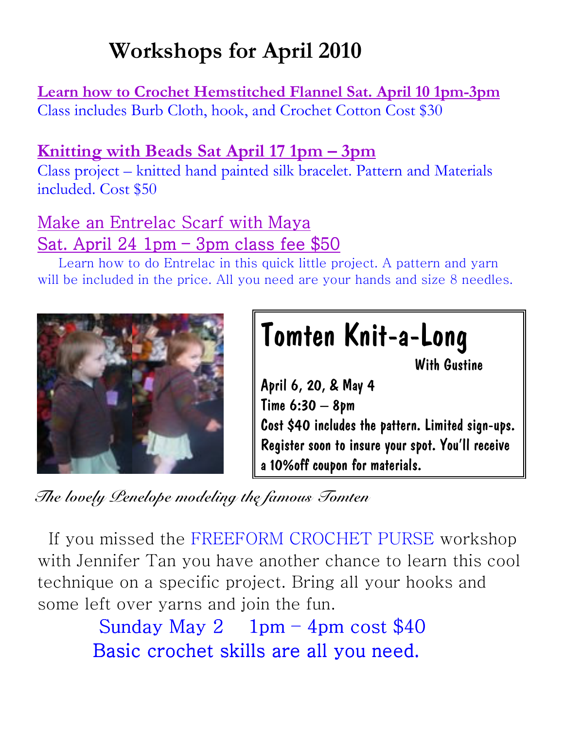# Workshops for April 2010

Learn how to Crochet Hemstitched Flannel Sat. April 10 1pm-3pm Class includes Burb Cloth, hook, and Crochet Cotton Cost \$30

## Knitting with Beads Sat April 17 1pm – 3pm

Class project – knitted hand painted silk bracelet. Pattern and Materials included. Cost \$50

## Make an Entrelac Scarf with Maya Sat. April  $24$  1pm – 3pm class fee  $$50$

 Learn how to do Entrelac in this quick little project. A pattern and yarn will be included in the price. All you need are your hands and size 8 needles.



# Tomten Knit-a-Long

With Gustine

April 6, 20, & May 4 Time 6:30 – 8pm Cost \$40 includes the pattern. Limited sign-ups. Register soon to insure your spot. You'll receive a 10%off coupon for materials.

The lovely Penelope modeling the famous Tomten

 If you missed the FREEFORM CROCHET PURSE workshop with Jennifer Tan you have another chance to learn this cool technique on a specific project. Bring all your hooks and some left over yarns and join the fun.

> Sunday May 2 1pm – 4pm cost  $$40$ Basic crochet skills are all you need.